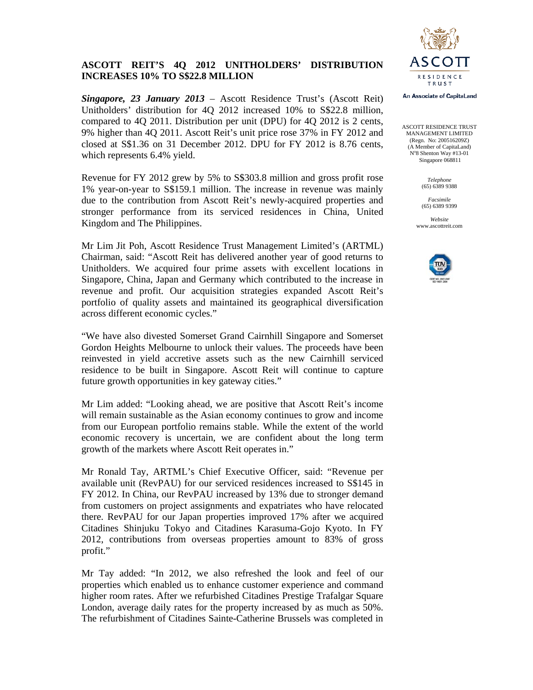

# **ASCOTT REIT'S 4Q 2012 UNITHOLDERS' DISTRIBUTION INCREASES 10% TO S\$22.8 MILLION**

*Singapore, 23 January 2013* – Ascott Residence Trust's (Ascott Reit) Unitholders' distribution for 4Q 2012 increased 10% to S\$22.8 million, compared to 4Q 2011. Distribution per unit (DPU) for 4Q 2012 is 2 cents, 9% higher than 4Q 2011. Ascott Reit's unit price rose 37% in FY 2012 and closed at S\$1.36 on 31 December 2012. DPU for FY 2012 is 8.76 cents, which represents 6.4% yield.

Revenue for FY 2012 grew by 5% to S\$303.8 million and gross profit rose 1% year-on-year to S\$159.1 million. The increase in revenue was mainly due to the contribution from Ascott Reit's newly-acquired properties and stronger performance from its serviced residences in China, United Kingdom and The Philippines.

Mr Lim Jit Poh, Ascott Residence Trust Management Limited's (ARTML) Chairman, said: "Ascott Reit has delivered another year of good returns to Unitholders. We acquired four prime assets with excellent locations in Singapore, China, Japan and Germany which contributed to the increase in revenue and profit. Our acquisition strategies expanded Ascott Reit's portfolio of quality assets and maintained its geographical diversification across different economic cycles."

"We have also divested Somerset Grand Cairnhill Singapore and Somerset Gordon Heights Melbourne to unlock their values. The proceeds have been reinvested in yield accretive assets such as the new Cairnhill serviced residence to be built in Singapore. Ascott Reit will continue to capture future growth opportunities in key gateway cities."

Mr Lim added: "Looking ahead, we are positive that Ascott Reit's income will remain sustainable as the Asian economy continues to grow and income from our European portfolio remains stable. While the extent of the world economic recovery is uncertain, we are confident about the long term growth of the markets where Ascott Reit operates in."

Mr Ronald Tay, ARTML's Chief Executive Officer, said: "Revenue per available unit (RevPAU) for our serviced residences increased to S\$145 in FY 2012. In China, our RevPAU increased by 13% due to stronger demand from customers on project assignments and expatriates who have relocated there. RevPAU for our Japan properties improved 17% after we acquired Citadines Shinjuku Tokyo and Citadines Karasuma-Gojo Kyoto. In FY 2012, contributions from overseas properties amount to 83% of gross profit."

Mr Tay added: "In 2012, we also refreshed the look and feel of our properties which enabled us to enhance customer experience and command higher room rates. After we refurbished Citadines Prestige Trafalgar Square London, average daily rates for the property increased by as much as 50%. The refurbishment of Citadines Sainte-Catherine Brussels was completed in



ASCOTT RESIDENCE TRUST MANAGEMENT LIMITED (Regn. No: 200516209Z) (A Member of CapitaLand) N°8 Shenton Way #13-01 Singapore 068811

> *Telephone*  (65) 6389 9388

> *Facsimile*  (65) 6389 9399

*Website*  www.ascottreit.com

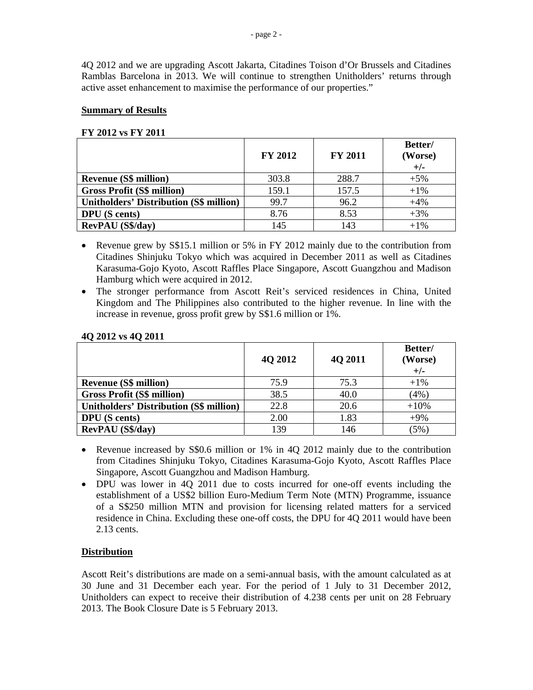4Q 2012 and we are upgrading Ascott Jakarta, Citadines Toison d'Or Brussels and Citadines Ramblas Barcelona in 2013. We will continue to strengthen Unitholders' returns through active asset enhancement to maximise the performance of our properties."

## **Summary of Results**

### **FY 2012 vs FY 2011**

|                                                | <b>FY 2012</b> | <b>FY 2011</b> | Better/<br>(Worse)<br>$+/-$ |
|------------------------------------------------|----------------|----------------|-----------------------------|
| <b>Revenue (S\$ million)</b>                   | 303.8          | 288.7          | $+5%$                       |
| <b>Gross Profit (S\$ million)</b>              | 159.1          | 157.5          | $+1\%$                      |
| <b>Unitholders' Distribution (S\$ million)</b> | 99.7           | 96.2           | $+4%$                       |
| <b>DPU</b> (S cents)                           | 8.76           | 8.53           | $+3%$                       |
| <b>RevPAU</b> (S\$/day)                        | 145            | 143            | $+1\%$                      |

- Revenue grew by S\$15.1 million or 5% in FY 2012 mainly due to the contribution from Citadines Shinjuku Tokyo which was acquired in December 2011 as well as Citadines Karasuma-Gojo Kyoto, Ascott Raffles Place Singapore, Ascott Guangzhou and Madison Hamburg which were acquired in 2012.
- The stronger performance from Ascott Reit's serviced residences in China, United Kingdom and The Philippines also contributed to the higher revenue. In line with the increase in revenue, gross profit grew by S\$1.6 million or 1%.

|                                                | <b>40 2012</b> | 4Q 2011 | Better/<br>(Worse)<br>$+/-$ |
|------------------------------------------------|----------------|---------|-----------------------------|
| <b>Revenue (S\$ million)</b>                   | 75.9           | 75.3    | $+1\%$                      |
| <b>Gross Profit (S\$ million)</b>              | 38.5           | 40.0    | (4%)                        |
| <b>Unitholders' Distribution (S\$ million)</b> | 22.8           | 20.6    | $+10%$                      |
| <b>DPU</b> (S cents)                           | 2.00           | 1.83    | $+9\%$                      |
| <b>RevPAU</b> (S\$/day)                        | 139            | 146     | (5%                         |

### **4Q 2012 vs 4Q 2011**

- Revenue increased by S\$0.6 million or 1% in 4Q 2012 mainly due to the contribution from Citadines Shinjuku Tokyo, Citadines Karasuma-Gojo Kyoto, Ascott Raffles Place Singapore, Ascott Guangzhou and Madison Hamburg.
- DPU was lower in 4Q 2011 due to costs incurred for one-off events including the establishment of a US\$2 billion Euro-Medium Term Note (MTN) Programme, issuance of a S\$250 million MTN and provision for licensing related matters for a serviced residence in China. Excluding these one-off costs, the DPU for 4Q 2011 would have been 2.13 cents.

# **Distribution**

Ascott Reit's distributions are made on a semi-annual basis, with the amount calculated as at 30 June and 31 December each year. For the period of 1 July to 31 December 2012, Unitholders can expect to receive their distribution of 4.238 cents per unit on 28 February 2013. The Book Closure Date is 5 February 2013.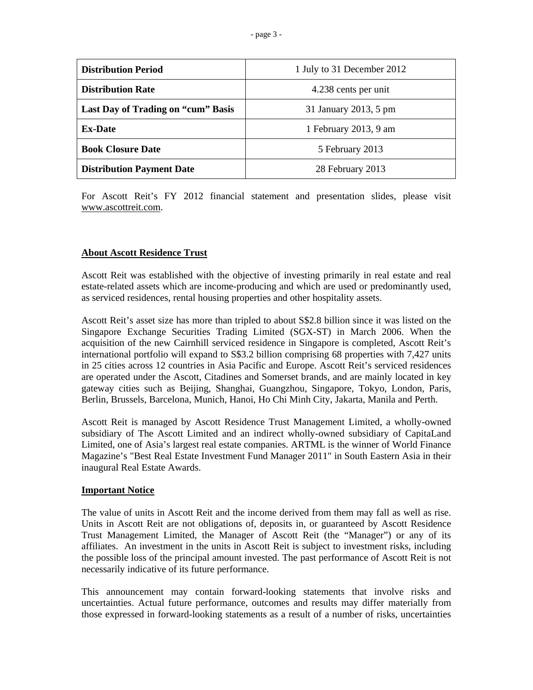| <b>Distribution Period</b>         | 1 July to 31 December 2012 |  |
|------------------------------------|----------------------------|--|
| <b>Distribution Rate</b>           | 4.238 cents per unit       |  |
| Last Day of Trading on "cum" Basis | 31 January 2013, 5 pm      |  |
| <b>Ex-Date</b>                     | 1 February 2013, 9 am      |  |
| <b>Book Closure Date</b>           | 5 February 2013            |  |
| <b>Distribution Payment Date</b>   | 28 February 2013           |  |

For Ascott Reit's FY 2012 financial statement and presentation slides, please visit www.ascottreit.com.

## **About Ascott Residence Trust**

Ascott Reit was established with the objective of investing primarily in real estate and real estate-related assets which are income-producing and which are used or predominantly used, as serviced residences, rental housing properties and other hospitality assets.

Ascott Reit's asset size has more than tripled to about S\$2.8 billion since it was listed on the Singapore Exchange Securities Trading Limited (SGX-ST) in March 2006. When the acquisition of the new Cairnhill serviced residence in Singapore is completed, Ascott Reit's international portfolio will expand to S\$3.2 billion comprising 68 properties with 7,427 units in 25 cities across 12 countries in Asia Pacific and Europe. Ascott Reit's serviced residences are operated under the Ascott, Citadines and Somerset brands, and are mainly located in key gateway cities such as Beijing, Shanghai, Guangzhou, Singapore, Tokyo, London, Paris, Berlin, Brussels, Barcelona, Munich, Hanoi, Ho Chi Minh City, Jakarta, Manila and Perth.

Ascott Reit is managed by Ascott Residence Trust Management Limited, a wholly-owned subsidiary of The Ascott Limited and an indirect wholly-owned subsidiary of CapitaLand Limited, one of Asia's largest real estate companies. ARTML is the winner of World Finance Magazine's "Best Real Estate Investment Fund Manager 2011" in South Eastern Asia in their inaugural Real Estate Awards.

#### **Important Notice**

The value of units in Ascott Reit and the income derived from them may fall as well as rise. Units in Ascott Reit are not obligations of, deposits in, or guaranteed by Ascott Residence Trust Management Limited, the Manager of Ascott Reit (the "Manager") or any of its affiliates. An investment in the units in Ascott Reit is subject to investment risks, including the possible loss of the principal amount invested. The past performance of Ascott Reit is not necessarily indicative of its future performance.

This announcement may contain forward-looking statements that involve risks and uncertainties. Actual future performance, outcomes and results may differ materially from those expressed in forward-looking statements as a result of a number of risks, uncertainties